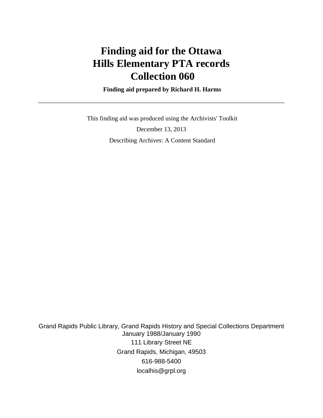# **Finding aid for the Ottawa Hills Elementary PTA records Collection 060**

 **Finding aid prepared by Richard H. Harms**

 This finding aid was produced using the Archivists' Toolkit December 13, 2013 Describing Archives: A Content Standard

Grand Rapids Public Library, Grand Rapids History and Special Collections Department January 1988/January 1990 111 Library Street NE Grand Rapids, Michigan, 49503 616-988-5400 localhis@grpl.org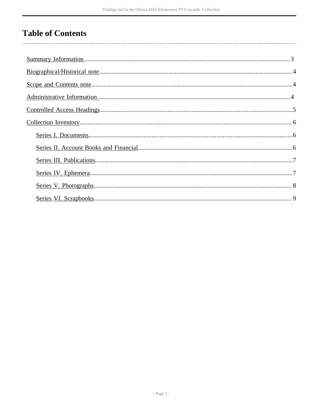# **Table of Contents**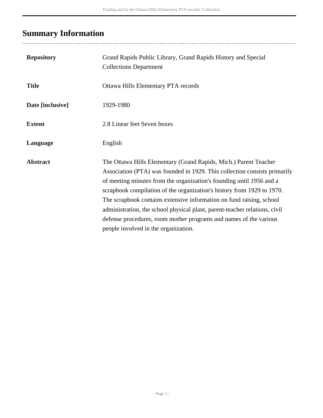# <span id="page-2-0"></span>**Summary Information**

| <b>Repository</b> | Grand Rapids Public Library, Grand Rapids History and Special<br><b>Collections Department</b>                                                                                                                                                                                                                                                                                                                                                                                                                                                                     |
|-------------------|--------------------------------------------------------------------------------------------------------------------------------------------------------------------------------------------------------------------------------------------------------------------------------------------------------------------------------------------------------------------------------------------------------------------------------------------------------------------------------------------------------------------------------------------------------------------|
| <b>Title</b>      | Ottawa Hills Elementary PTA records                                                                                                                                                                                                                                                                                                                                                                                                                                                                                                                                |
| Date [inclusive]  | 1929-1980                                                                                                                                                                                                                                                                                                                                                                                                                                                                                                                                                          |
| <b>Extent</b>     | 2.8 Linear feet Seven boxes                                                                                                                                                                                                                                                                                                                                                                                                                                                                                                                                        |
| Language          | English                                                                                                                                                                                                                                                                                                                                                                                                                                                                                                                                                            |
| <b>Abstract</b>   | The Ottawa Hills Elementary (Grand Rapids, Mich.) Parent Teacher<br>Association (PTA) was founded in 1929. This collection consists primarily<br>of meeting minutes from the organization's founding until 1956 and a<br>scrapbook compilation of the organization's history from 1929 to 1970.<br>The scrapbook contains extensive information on fund raising, school<br>administration, the school physical plant, parent-teacher relations, civil<br>defense procedures, room mother programs and names of the various<br>people involved in the organization. |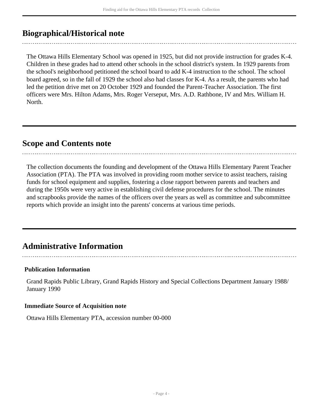# <span id="page-3-0"></span>**Biographical/Historical note**

The Ottawa Hills Elementary School was opened in 1925, but did not provide instruction for grades K-4. Children in these grades had to attend other schools in the school district's system. In 1929 parents from the school's neighborhood petitioned the school board to add K-4 instruction to the school. The school board agreed, so in the fall of 1929 the school also had classes for K-4. As a result, the parents who had led the petition drive met on 20 October 1929 and founded the Parent-Teacher Association. The first officers were Mrs. Hilton Adams, Mrs. Roger Verseput, Mrs. A.D. Rathbone, IV and Mrs. William H. North.

## <span id="page-3-1"></span>**Scope and Contents note**

The collection documents the founding and development of the Ottawa Hills Elementary Parent Teacher Association (PTA). The PTA was involved in providing room mother service to assist teachers, raising funds for school equipment and supplies, fostering a close rapport between parents and teachers and during the 1950s were very active in establishing civil defense procedures for the school. The minutes and scrapbooks provide the names of the officers over the years as well as committee and subcommittee reports which provide an insight into the parents' concerns at various time periods.

# <span id="page-3-2"></span>**Administrative Information**

### **Publication Information**

Grand Rapids Public Library, Grand Rapids History and Special Collections Department January 1988/ January 1990

### **Immediate Source of Acquisition note**

Ottawa Hills Elementary PTA, accession number 00-000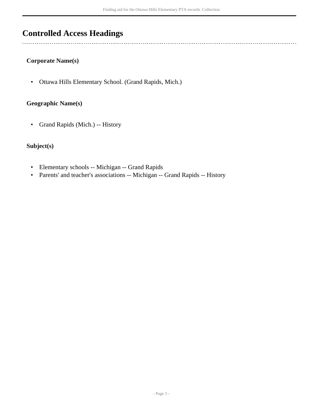# <span id="page-4-0"></span>**Controlled Access Headings**

 $\overline{a}$ 

### **Corporate Name(s)**

• Ottawa Hills Elementary School. (Grand Rapids, Mich.)

### **Geographic Name(s)**

• Grand Rapids (Mich.) -- History

## **Subject(s)**

- Elementary schools -- Michigan -- Grand Rapids
- Parents' and teacher's associations -- Michigan -- Grand Rapids -- History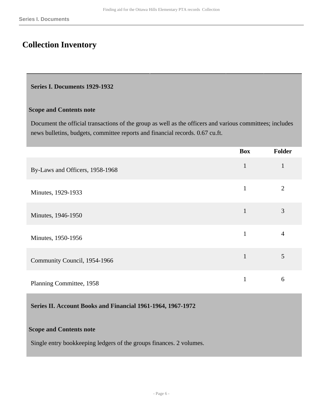# <span id="page-5-0"></span>**Collection Inventory**

#### <span id="page-5-1"></span>**Series I. Documents 1929-1932**

#### **Scope and Contents note**

Document the official transactions of the group as well as the officers and various committees; includes news bulletins, budgets, committee reports and financial records. 0.67 cu.ft.

|                                 | <b>Box</b>   | Folder |
|---------------------------------|--------------|--------|
| By-Laws and Officers, 1958-1968 | $\mathbf{1}$ | 1      |
| Minutes, 1929-1933              | 1            | 2      |
| Minutes, 1946-1950              | $\mathbf{1}$ | 3      |
| Minutes, 1950-1956              | 1            | 4      |
| Community Council, 1954-1966    | 1            | 5      |
| Planning Committee, 1958        |              | 6      |

### <span id="page-5-2"></span>**Series II. Account Books and Financial 1961-1964, 1967-1972**

### **Scope and Contents note**

Single entry bookkeeping ledgers of the groups finances. 2 volumes.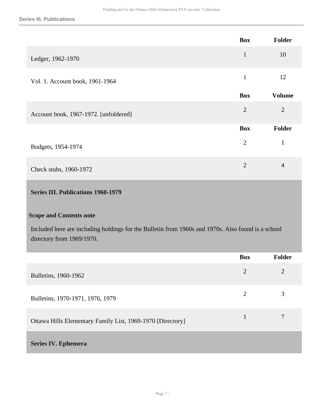|                                       | <b>Box</b>     | Folder         |
|---------------------------------------|----------------|----------------|
| Ledger, 1962-1970                     | $\mathbf{1}$   | 10             |
| Vol. 1. Account book, 1961-1964       | $\mathbf{1}$   | 12             |
|                                       | <b>Box</b>     | <b>Volume</b>  |
| Account book, 1967-1972. [unfoldered] | $\overline{2}$ | $\overline{2}$ |
|                                       | <b>Box</b>     | Folder         |
| Budgets, 1954-1974                    | $\overline{2}$ | $\mathbf{1}$   |
| Check stubs, 1960-1972                | $\overline{2}$ | $\overline{4}$ |

## <span id="page-6-0"></span>**Series III. Publications 1960-1979**

### **Scope and Contents note**

Included here are including holdings for the Bulletin from 1960s and 1970s. Also found is a school directory from 1969/1970.

<span id="page-6-1"></span>

|                                                            | <b>Box</b>     | Folder |
|------------------------------------------------------------|----------------|--------|
| Bulletins, 1960-1962                                       | $\overline{2}$ | 2      |
| Bulletins, 1970-1971, 1976, 1979                           | $\overline{2}$ | 3      |
| Ottawa Hills Elementary Family List, 1969-1970 [Directory] | 1              | 7      |
| <b>Series IV. Ephemera</b>                                 |                |        |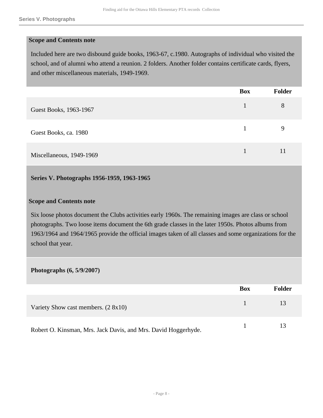#### **Scope and Contents note**

Included here are two disbound guide books, 1963-67, c.1980. Autographs of individual who visited the school, and of alumni who attend a reunion. 2 folders. Another folder contains certificate cards, flyers, and other miscellaneous materials, 1949-1969.

|                          | <b>Box</b> | Folder |
|--------------------------|------------|--------|
| Guest Books, 1963-1967   |            | 8      |
| Guest Books, ca. 1980    |            | 9      |
| Miscellaneous, 1949-1969 |            | 11     |

#### <span id="page-7-0"></span>**Series V. Photographs 1956-1959, 1963-1965**

#### **Scope and Contents note**

Six loose photos document the Clubs activities early 1960s. The remaining images are class or school photographs. Two loose items document the 6th grade classes in the later 1950s. Photos albums from 1963/1964 and 1964/1965 provide the official images taken of all classes and some organizations for the school that year.

### **Photographs (6, 5/9/2007)**

|                                                                | Box | Folder |
|----------------------------------------------------------------|-----|--------|
| Variety Show cast members. $(2 \, 8x10)$                       |     | 13     |
| Robert O. Kinsman, Mrs. Jack Davis, and Mrs. David Hoggerhyde. |     |        |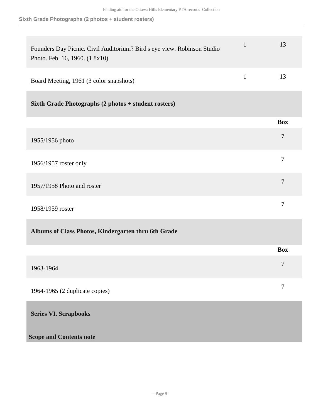**Sixth Grade Photographs (2 photos + student rosters)**

<span id="page-8-0"></span>

| Founders Day Picnic. Civil Auditorium? Bird's eye view. Robinson Studio<br>Photo. Feb. 16, 1960. (1 8x10) | $\mathbf{1}$ | 13               |
|-----------------------------------------------------------------------------------------------------------|--------------|------------------|
| Board Meeting, 1961 (3 color snapshots)                                                                   | $\mathbf{1}$ | 13               |
| Sixth Grade Photographs (2 photos + student rosters)                                                      |              |                  |
|                                                                                                           |              | <b>Box</b>       |
| 1955/1956 photo                                                                                           |              | $\tau$           |
| 1956/1957 roster only                                                                                     |              | $\boldsymbol{7}$ |
| 1957/1958 Photo and roster                                                                                |              | $\tau$           |
| 1958/1959 roster                                                                                          |              | $\tau$           |
| Albums of Class Photos, Kindergarten thru 6th Grade                                                       |              |                  |
|                                                                                                           |              | <b>Box</b>       |
| 1963-1964                                                                                                 |              | 7                |
| 1964-1965 (2 duplicate copies)                                                                            |              | $\tau$           |
| <b>Series VI. Scrapbooks</b>                                                                              |              |                  |
| <b>Scope and Contents note</b>                                                                            |              |                  |